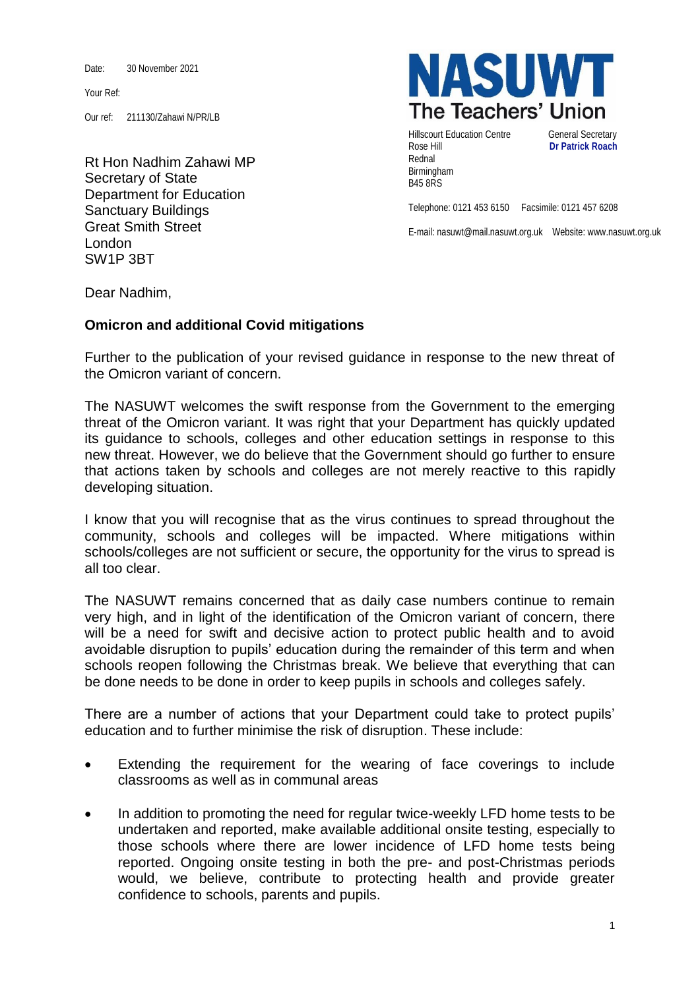Date: 30 November 2021

Your Ref:

Our ref: 211130/Zahawi N/PR/LB

Rt Hon Nadhim Zahawi MP Secretary of State Department for Education Sanctuary Buildings Great Smith Street London SW1P 3BT

**NASUWT** The Teachers' Union

Hillscourt Education Centre **General Secretary** Rose Hill **Dr Patrick Roach** Rednal Birmingham B45 8RS

Telephone: 0121 453 6150 Facsimile: 0121 457 6208

E-mail: nasuwt@mail.nasuwt.org.uk Website: www.nasuwt.org.uk

Dear Nadhim,

## **Omicron and additional Covid mitigations**

Further to the publication of your revised guidance in response to the new threat of the Omicron variant of concern.

The NASUWT welcomes the swift response from the Government to the emerging threat of the Omicron variant. It was right that your Department has quickly updated its guidance to schools, colleges and other education settings in response to this new threat. However, we do believe that the Government should go further to ensure that actions taken by schools and colleges are not merely reactive to this rapidly developing situation.

I know that you will recognise that as the virus continues to spread throughout the community, schools and colleges will be impacted. Where mitigations within schools/colleges are not sufficient or secure, the opportunity for the virus to spread is all too clear.

The NASUWT remains concerned that as daily case numbers continue to remain very high, and in light of the identification of the Omicron variant of concern, there will be a need for swift and decisive action to protect public health and to avoid avoidable disruption to pupils' education during the remainder of this term and when schools reopen following the Christmas break. We believe that everything that can be done needs to be done in order to keep pupils in schools and colleges safely.

There are a number of actions that your Department could take to protect pupils' education and to further minimise the risk of disruption. These include:

- Extending the requirement for the wearing of face coverings to include classrooms as well as in communal areas
- In addition to promoting the need for regular twice-weekly LFD home tests to be undertaken and reported, make available additional onsite testing, especially to those schools where there are lower incidence of LFD home tests being reported. Ongoing onsite testing in both the pre- and post-Christmas periods would, we believe, contribute to protecting health and provide greater confidence to schools, parents and pupils.